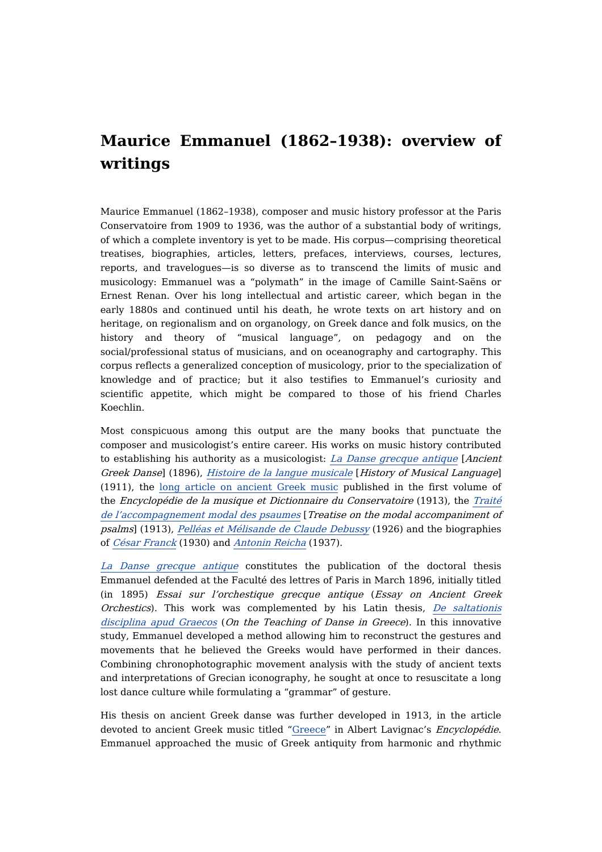## **Maurice Emmanuel (1862–1938): overview of writings**

Maurice Emmanuel (1862–1938), composer and music history professor at the Paris Conservatoire from 1909 to 1936, was the author of a substantial body of writings, of which a complete inventory is yet to be made. His corpus—comprising theoretical treatises, biographies, articles, letters, prefaces, interviews, courses, lectures, reports, and travelogues—is so diverse as to transcend the limits of music and musicology: Emmanuel was a "polymath" in the image of Camille Saint-Saëns or Ernest Renan. Over his long intellectual and artistic career, which began in the early 1880s and continued until his death, he wrote texts on art history and on heritage, on regionalism and on organology, on Greek dance and folk musics, on the history and theory of "musical language", on pedagogy and on the social/professional status of musicians, and on oceanography and cartography. This corpus reflects a generalized conception of musicology, prior to the specialization of knowledge and of practice; but it also testifies to Emmanuel's curiosity and scientific appetite, which might be compared to those of his friend Charles Koechlin.

Most conspicuous among this output are the many books that punctuate the composer and musicologist's entire career. His works on music history contributed to establishing his authority as a musicologist: La Danse grecque [antique](https://dicteco.huma-num.fr/fr/book/39876) [Ancient Greek Danse] (1896), Histoire de la [langue](https://dicteco.huma-num.fr/fr/book/39887) musicale [History of Musical Language] (1911), the long article on [ancient](https://dicteco.huma-num.fr/fr/workchapter/40118%5C) Greek music published in the first volume of the Encyclopédie de la musique et Dictionnaire du Conservatoire (1913), the Traité de [l'accompagnement](https://dicteco.huma-num.fr/fr/book/39918) modal des psaumes [Treatise on the modal accompaniment of psalms] (1913), Pelléas et [Mélisande](https://dicteco.huma-num.fr/fr/book/39903) de Claude Debussy (1926) and the biographies of César [Franck](https://dicteco.huma-num.fr/fr/book/39908) (1930) and [Antonin](https://dicteco.huma-num.fr/fr/book/39913) Reicha (1937).

La Danse grecque [antique](https://dicteco.huma-num.fr/fr/book/39876) constitutes the publication of the doctoral thesis Emmanuel defended at the Faculté des lettres of Paris in March 1896, initially titled (in 1895) Essai sur l'orchestique grecque antique (Essay on Ancient Greek Orchestics). This work was [complemented](https://dicteco.huma-num.fr/fr/book/39975) by his Latin thesis, De saltationis disciplina apud Graecos (On the Teaching of Danse in Greece). In this innovative study, Emmanuel developed a method allowing him to reconstruct the gestures and movements that he believed the Greeks would have performed in their dances. Combining chronophotographic movement analysis with the study of ancient texts and interpretations of Grecian iconography, he sought at once to resuscitate a long lost dance culture while formulating a "grammar" of gesture.

His thesis on ancient Greek danse was further developed in 1913, in the article devoted to ancient Greek music titled "[Greece](https://dicteco.huma-num.fr/fr/workchapter/40118%5C)" in Albert Lavignac's Encyclopédie. Emmanuel approached the music of Greek antiquity from harmonic and rhythmic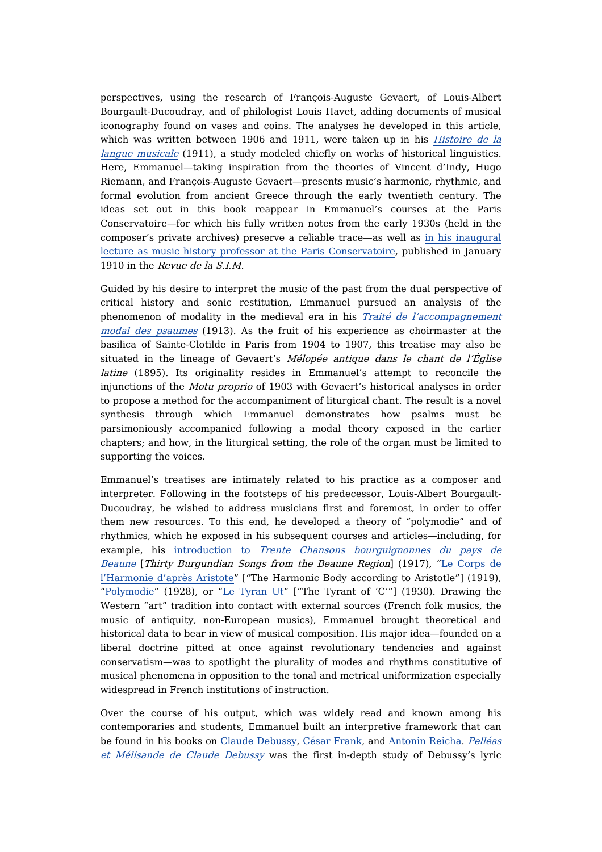perspectives, using the research of François-Auguste Gevaert, of Louis-Albert Bourgault-Ducoudray, and of philologist Louis Havet, adding documents of musical iconography found on vases and coins. The analyses he developed in this article, which was written between 1906 and 1911, were taken up in his *Histoire de la* langue musicale (1911), a study modeled chiefly on works of historical [linguistics.](https://dicteco.huma-num.fr/fr/book/39887) Here, Emmanuel—taking inspiration from the theories of Vincent d'Indy, Hugo Riemann, and François-Auguste Gevaert—presents music's harmonic, rhythmic, and formal evolution from ancient Greece through the early twentieth century. The ideas set out in this book reappear in Emmanuel's courses at the Paris Conservatoire—for which his fully written notes from the early 1930s (held in the composer's private archives) preserve a reliable trace—as well as in his inaugural lecture as music history professor at the Paris [Conservatoire,](https://dicteco.huma-num.fr/fr/article/40018) published in January 1910 in the Revue de la S.I.M.

Guided by his desire to interpret the music of the past from the dual perspective of critical history and sonic restitution, Emmanuel pursued an analysis of the phenomenon of modality in the medieval era in his Traité de [l'accompagnement](https://dicteco.huma-num.fr/fr/book/39918) modal des psaumes (1913). As the fruit of his experience as choirmaster at the basilica of Sainte-Clotilde in Paris from 1904 to 1907, this treatise may also be situated in the lineage of Gevaert's  $M\acute{e}$ lopée antique dans le chant de l'Église latine (1895). Its originality resides in Emmanuel's attempt to reconcile the injunctions of the Motu proprio of 1903 with Gevaert's historical analyses in order to propose a method for the accompaniment of liturgical chant. The result is a novel synthesis through which Emmanuel demonstrates how psalms must be parsimoniously accompanied following a modal theory exposed in the earlier chapters; and how, in the liturgical setting, the role of the organ must be limited to supporting the voices.

Emmanuel's treatises are intimately related to his practice as a composer and interpreter. Following in the footsteps of his predecessor, Louis-Albert Bourgault-Ducoudray, he wished to address musicians first and foremost, in order to offer them new resources. To this end, he developed a theory of "polymodie" and of rhythmics, which he exposed in his subsequent courses and articles—including, for example, his [introduction](https://dicteco.huma-num.fr/fr/workchapter/40125) to Trente Chansons [bourguignonnes](https://dicteco.huma-num.fr/fr/workchapter/40125) du pays de Beaune [Thirty [Burgundian](https://dicteco.huma-num.fr/fr/article/40031) Songs from the Beaune Region] (1917), "Le Corps de l'Harmonie d'après Aristote" ["The Harmonic Body according to Aristotle"] (1919), "[Polymodie](https://dicteco.huma-num.fr/fr/article/40161)" (1928), or "Le [Tyran](https://dicteco.huma-num.fr/fr/article/40069) Ut" ["The Tyrant of 'C'"] (1930). Drawing the Western "art" tradition into contact with external sources (French folk musics, the music of antiquity, non-European musics), Emmanuel brought theoretical and historical data to bear in view of musical composition. His major idea—founded on a liberal doctrine pitted at once against revolutionary tendencies and against conservatism—was to spotlight the plurality of modes and rhythms constitutive of musical phenomena in opposition to the tonal and metrical uniformization especially widespread in French institutions of instruction.

Over the course of his output, which was widely read and known among his contemporaries and students, Emmanuel built an interpretive framework that can be found in his books on Claude [Debussy](https://dicteco.huma-num.fr/fr/book/39903), César [Frank,](https://dicteco.huma-num.fr/fr/book/39908) and [Antonin](https://dicteco.huma-num.fr/fr/book/39913) Reicha. Pelléas et Mélisande de Claude Debussy was the first in-depth study of [Debussy's](https://dicteco.huma-num.fr/fr/book/39903) lyric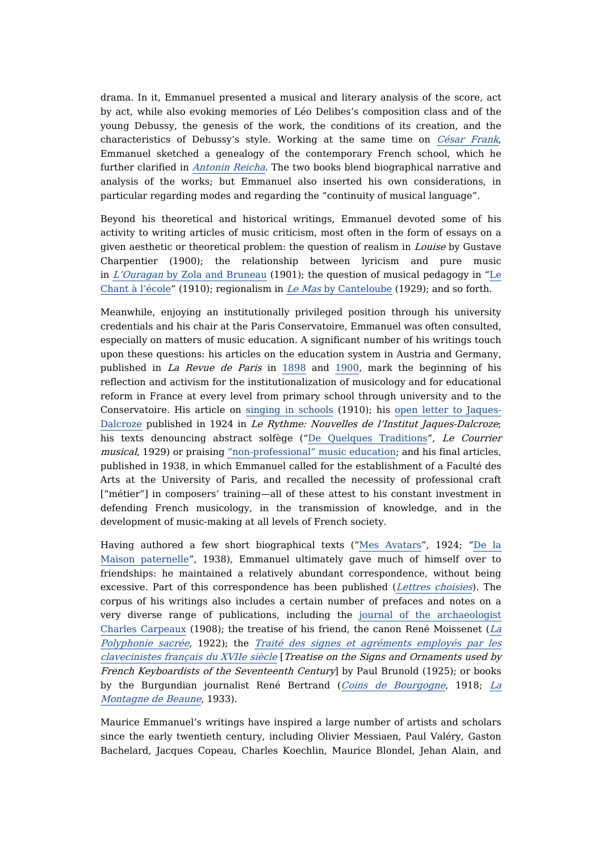drama. In it, Emmanuel presented a musical and literary analysis of the score, act by act, while also evoking memories of Léo Delibes's composition class and of the young Debussy, the genesis of the work, the conditions of its creation, and the characteristics of Debussy's style. Working at the same time on *[César](https://dicteco.huma-num.fr/fr/book/39908) Frank*, Emmanuel sketched a genealogy of the contemporary French school, which he further clarified in [Antonin](https://dicteco.huma-num.fr/fr/book/39913) Reicha. The two books blend biographical narrative and analysis of the works; but Emmanuel also inserted his own considerations, in particular regarding modes and regarding the "continuity of musical language".

Beyond his theoretical and historical writings, Emmanuel devoted some of his activity to writing articles of music criticism, most often in the form of essays on a given aesthetic or theoretical problem: the question of realism in Louise by Gustave Charpentier (1900); the relationship between lyricism and pure music in  $L'Ouragan$  by Zola and [Bruneau](https://dicteco.huma-num.fr/fr/article/40001) (1901); the question of musical pedagogy in "Le Chant à l'école" (1910); [regionalism](https://dicteco.huma-num.fr/fr/article/40100) in Le [Mas](https://dicteco.huma-num.fr/fr/article/40057) by [Canteloube](https://dicteco.huma-num.fr/fr/article/40057) (1929); and so forth.

Meanwhile, enjoying an institutionally privileged position through his university credentials and his chair at the Paris Conservatoire, Emmanuel was often consulted, especially on matters of music education. A significant number of his writings touch upon these questions: his articles on the education system in Austria and Germany, published in La Revue de Paris in [1898](https://dicteco.huma-num.fr/fr/article/39983) and [1900,](https://dicteco.huma-num.fr/fr/article/39989) mark the beginning of his reflection and activism for the institutionalization of musicology and for educational reform in France at every level from primary school through university and to the Conservatoire. His article on [singing](https://dicteco.huma-num.fr/fr/article/40100) in schools (1910); his open letter to Jaques-Dalcroze published in 1924 in Le Rythme: Nouvelles de l'Institut [Jaques-Dalcroze](https://dicteco.huma-num.fr/fr/article/40046); his texts denouncing abstract solfège ("De Quelques [Traditions](https://dicteco.huma-num.fr/fr/article/40063)", Le Courrier musical, 1929) or praising ["non-professional"](https://dicteco.huma-num.fr/fr/article/40078) music education; and his final articles, published in 1938, in which Emmanuel called for the establishment of a Faculté des Arts at the University of Paris, and recalled the necessity of professional craft ["métier"] in composers' training—all of these attest to his constant investment in defending French musicology, in the transmission of knowledge, and in the development of music-making at all levels of French society.

Having authored a few short [biographical](https://dicteco.huma-num.fr/fr/article/40173) texts ("Mes [Avatars](https://dicteco.huma-num.fr/fr/article/40146)", 1924; "De la Maison paternelle", 1938), Emmanuel ultimately gave much of himself over to friendships: he maintained a relatively abundant correspondence, without being excessive. Part of this correspondence has been published (Lettres [choisies](https://dicteco.huma-num.fr/fr/anthology/40255?_cwmsgid=7eb38e2db39e43ee85765d90ab9b9343)). The corpus of his writings also includes a certain number of prefaces and notes on a very diverse range of publications, including the journal of the [archaeologist](https://dicteco.huma-num.fr/fr/article/40009) Charles Carpeaux (1908); the treatise of his friend, the canon René Moissenet ( $La$ Polyphonie sacrée, 1922); the Traité des signes et [agréments](https://dicteco.huma-num.fr/fr/book/40178) employés par les clavecinistes français du [XVII](https://dicteco.huma-num.fr/fr/workchapter/40154)e [siècle](https://dicteco.huma-num.fr/fr/workchapter/40154) [Treatise on the Signs and Ornaments used by French Keyboardists of the Seventeenth Century] by Paul Brunold (1925); or books by the [Burgundian](https://dicteco.huma-num.fr/fr/workchapter/40170) journalist René Bertrand (Coins de [Bourgogne](https://dicteco.huma-num.fr/fr/workchapter/40132), 1918; La Montagne de Beaune, 1933).

Maurice Emmanuel's writings have inspired a large number of artists and scholars since the early twentieth century, including Olivier Messiaen, Paul Valéry, Gaston Bachelard, Jacques Copeau, Charles Koechlin, Maurice Blondel, Jehan Alain, and